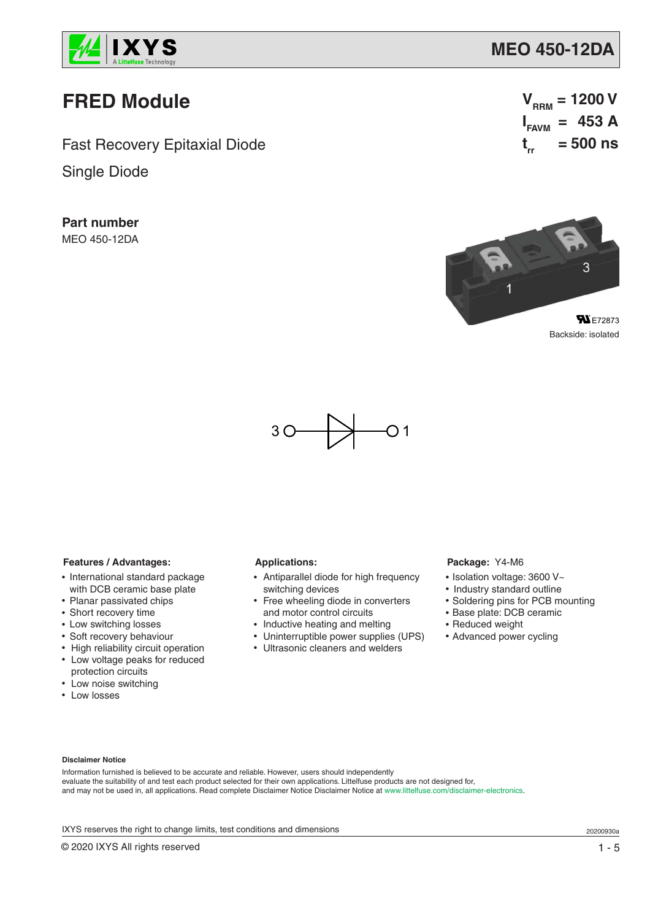

# **FRED Module**

Fast Recovery Epitaxial Diode

Single Diode

**Part number** MEO 450-12DA

 $V_{RRM} = 1200 V$  $I_{FAVM}$  = 453 A **t rr = 500 ns**



Backside: isolated



## **Features / Advantages:**

- International standard package with DCB ceramic base plate
- Planar passivated chips
- Short recovery time
- Low switching losses
- Soft recovery behaviour
- High reliability circuit operation • Low voltage peaks for reduced protection circuits
- Low noise switching
- Low losses

# **Applications:**

- Antiparallel diode for high frequency switching devices
- Free wheeling diode in converters and motor control circuits
- Inductive heating and melting
- Uninterruptible power supplies (UPS)
- Ultrasonic cleaners and welders

#### **Package:** Y4-M6

- Isolation voltage: 3600 V~
- Industry standard outline
- Soldering pins for PCB mounting
- Base plate: DCB ceramic
- Reduced weight
- Advanced power cycling

#### **Disclaimer Notice**

Information furnished is believed to be accurate and reliable. However, users should independently evaluate the suitability of and test each product selected for their own applications. Littelfuse products are not designed for, and may not be used in, all applications. Read complete Disclaimer Notice Disclaimer Notice at www.littelfuse.com/disclaimer-electronics.

IXYS reserves the right to change limits, test conditions and dimensions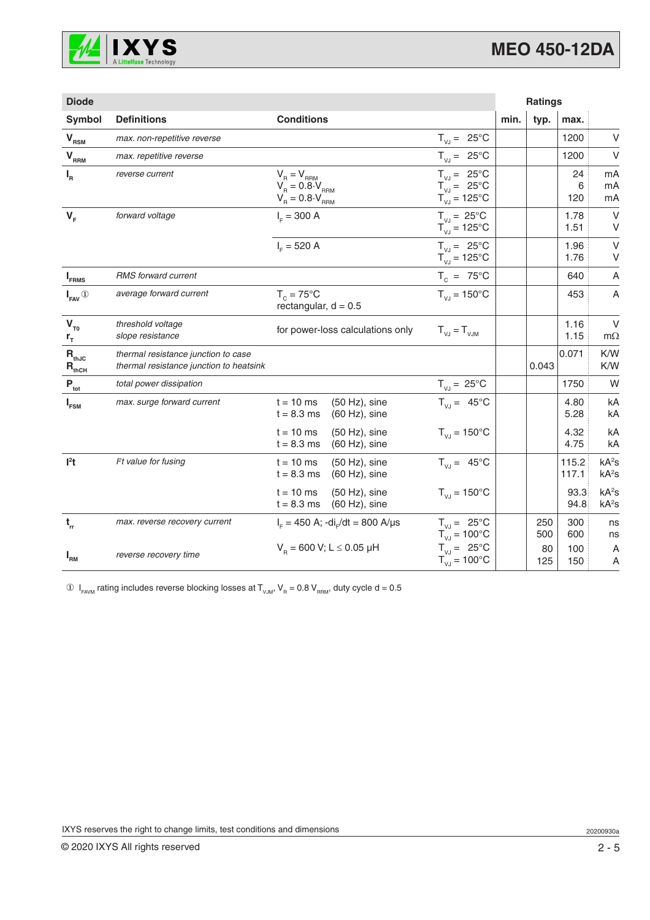

| <b>Diode</b>                             |                                                                                |                                                                                                                                                                                        |                                                                                                     |      | <b>Ratings</b> |                    |                                        |
|------------------------------------------|--------------------------------------------------------------------------------|----------------------------------------------------------------------------------------------------------------------------------------------------------------------------------------|-----------------------------------------------------------------------------------------------------|------|----------------|--------------------|----------------------------------------|
| Symbol                                   | <b>Definitions</b>                                                             | <b>Conditions</b>                                                                                                                                                                      |                                                                                                     | min. | typ.           | max.               |                                        |
| $V_{RSM}$                                | max. non-repetitive reverse                                                    |                                                                                                                                                                                        | $T_{V,J} = 25^{\circ}C$                                                                             |      |                | 1200               | V                                      |
| $V_{RRM}$                                | max. repetitive reverse                                                        |                                                                                                                                                                                        | $T_{VJ} = 25^{\circ}C$                                                                              |      |                | 1200               | $\vee$                                 |
| $I_R$                                    | reverse current                                                                | $\begin{array}{l} \mathsf{V}_{_{\mathsf{R}}}=\mathsf{V}_{_{\mathsf{RRM}}} \\ \mathsf{V}_{_{\mathsf{R}}}=0.8\cdot\mathsf{V}_{_{\mathsf{RRM}}} \end{array}$<br>$V_B = 0.8 \cdot V_{RRM}$ | $T_{V,J} = 25^{\circ}C$<br>$T_{\text{VJ}} = 25^{\circ} \text{C}$<br>$T_{VJ}^{\prime\prime}$ = 125°C |      |                | 24<br>$6\,$<br>120 | mA<br>mA<br>mA                         |
| $V_F$                                    | forward voltage                                                                | $I_{E} = 300 A$                                                                                                                                                                        | $T_{V,I} = 25^{\circ}C$<br>$T_{\text{VJ}} = 125^{\circ}$ C                                          |      |                | 1.78<br>1.51       | $\vee$<br>V                            |
|                                          |                                                                                | $I_{E} = 520 A$                                                                                                                                                                        | $T_{V,I} = 25^{\circ}C$<br>$T_{VJ} = 125^{\circ}C$                                                  |      |                | 1.96<br>1.76       | V<br>V                                 |
| $I_{FRMS}$                               | RMS forward current                                                            |                                                                                                                                                                                        | $T_c = 75^{\circ}C$                                                                                 |      |                | 640                | A                                      |
| $I_{\text{FAV}}$ <sup>①</sup>            | average forward current                                                        | $T_c = 75^{\circ}$ C<br>rectangular, $d = 0.5$                                                                                                                                         | $T_{V,I} = 150^{\circ}C$                                                                            |      |                | 453                | A                                      |
| $V_{T0}$<br>$r_{\rm T}$                  | threshold voltage<br>slope resistance                                          | for power-loss calculations only                                                                                                                                                       | $T_{V,J} = T_{V,JM}$                                                                                |      |                | 1.16<br>1.15       | $\vee$<br>$m\Omega$                    |
| $R_{thJC}$<br>$\mathbf{R}_{\text{thCH}}$ | thermal resistance junction to case<br>thermal resistance junction to heatsink |                                                                                                                                                                                        |                                                                                                     |      | 0.043          | 0.071              | K/W<br>K/W                             |
| $P_{\rm tot}$                            | total power dissipation                                                        |                                                                                                                                                                                        | $T_{VJ} = 25^{\circ}C$                                                                              |      |                | 1750               | W                                      |
| $I_{FSM}$                                | max. surge forward current                                                     | $t = 10$ ms<br>$(50 Hz)$ , sine<br>$t = 8.3$ ms<br>$(60 Hz)$ , sine                                                                                                                    | $T_{V,I} = 45^{\circ}C$                                                                             |      |                | 4.80<br>5.28       | kA<br>kA                               |
|                                          |                                                                                | $t = 10$ ms<br>$(50 Hz)$ , sine<br>$t = 8.3$ ms<br>$(60 Hz)$ , sine                                                                                                                    | $T_{V,I} = 150^{\circ}C$                                                                            |      |                | 4.32<br>4.75       | kA<br>kA                               |
| $l2$ t                                   | $Pt$ value for fusing                                                          | $t = 10$ ms<br>$(50 Hz)$ , sine<br>$t = 8.3$ ms<br>$(60 Hz)$ , sine                                                                                                                    | $T_{V,J} = 45^{\circ}C$                                                                             |      |                | 115.2<br>117.1     | kA <sup>2</sup> S<br>kA <sup>2</sup> S |
|                                          |                                                                                | $t = 10$ ms<br>$(50 Hz)$ , sine<br>$t = 8.3$ ms<br>$(60 Hz)$ , sine                                                                                                                    | $T_{VJ} = 150^{\circ}C$                                                                             |      |                | 93.3<br>94.8       | kA <sup>2</sup> S<br>kA <sup>2</sup> S |
| $\mathbf{t}_{\rm rr}$                    | max. reverse recovery current                                                  | $I_{F} = 450$ A; -di <sub>r</sub> /dt = 800 A/µs                                                                                                                                       | $T_{V,I} = 25^{\circ}C$<br>$T_{V,I} = 100^{\circ}C$                                                 |      | 250<br>500     | 300<br>600         | ns<br>ns                               |
| $I_{\rm RM}$                             | reverse recovery time                                                          | $V_p = 600$ V; L $\leq$ 0.05 µH                                                                                                                                                        | $T_{\text{VJ}} = 25^{\circ}C$<br>$T_{VJ} = 100^{\circ}C$                                            |      | 80<br>125      | 100<br>150         | A<br>A                                 |

 $\circledA$   $\mathsf{I}_{\mathsf{FAVM}}$  rating includes reverse blocking losses at  $\mathsf{T}_{\mathsf{VJM}}, \mathsf{V}_{\mathsf{R}} = 0.8 \mathsf{V}_{\mathsf{RRM}},$  duty cycle d = 0.5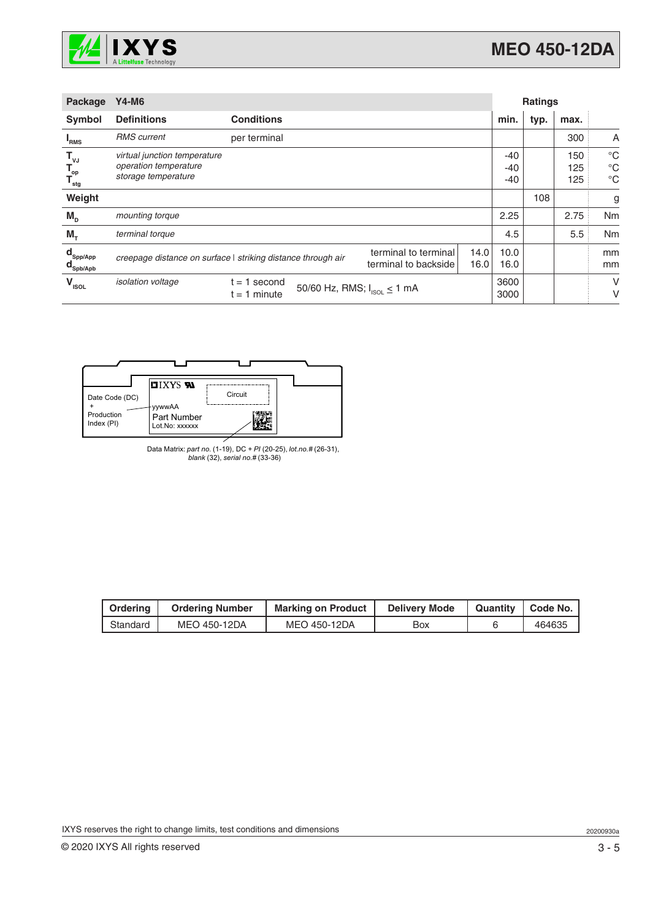

| Package                                                             | <b>Y4-M6</b>                                                                 |                                                              |                                              |              |                         | <b>Ratings</b> |                   |                                           |
|---------------------------------------------------------------------|------------------------------------------------------------------------------|--------------------------------------------------------------|----------------------------------------------|--------------|-------------------------|----------------|-------------------|-------------------------------------------|
| <b>Symbol</b>                                                       | <b>Definitions</b>                                                           | <b>Conditions</b>                                            |                                              |              | min.                    | typ.           | max.              |                                           |
| <sup>"</sup> RMS                                                    | <b>RMS</b> current                                                           | per terminal                                                 |                                              |              |                         |                | 300               | A                                         |
| $\mathsf{T}_{\mathsf{vJ}}$<br>$\mathbf{T}_{op}$<br>$T_{\text{stg}}$ | virtual junction temperature<br>operation temperature<br>storage temperature |                                                              |                                              |              | $-40$<br>$-40$<br>$-40$ |                | 150<br>125<br>125 | $^{\circ}C$<br>$^{\circ}C$<br>$^{\circ}C$ |
| Weight                                                              |                                                                              |                                                              |                                              |              |                         | 108            |                   | g                                         |
| $M_{\text{D}}$                                                      | mounting torque                                                              |                                                              |                                              |              | 2.25                    |                | 2.75              | Nm                                        |
| $M_{\tau}$                                                          | terminal torque                                                              |                                                              |                                              |              | 4.5                     |                | 5.5               | Nm                                        |
| $\mathbf{d}_{\mathsf{Spp/App}}$<br>$\mathbf{d}_{\mathsf{Spb/Apb}}$  |                                                                              | creepage distance on surface   striking distance through air | terminal to terminal<br>terminal to backside | 14.0<br>16.0 | 10.0<br>16.0            |                |                   | mm<br>mm                                  |
| $V_{\rm ISOL}$                                                      | isolation voltage                                                            | 1 second<br>t =<br>$t = 1$ minute                            | 50/60 Hz, RMS; $I_{ISOL} \le 1$ mA           |              | 3600<br>3000            |                |                   | V<br>V                                    |



Data Matrix: *part no.* (1-19), DC + *PI* (20-25), *lot.no.#* (26-31), *blank* (32), *serial no.#* (33-36)

| Ordering | <b>Ordering Number</b> | <b>Marking on Product</b> | <b>Delivery Mode</b> | Quantity   Code No. |
|----------|------------------------|---------------------------|----------------------|---------------------|
| Standard | MEO 450-12DA           | MEO 450-12DA              | Box                  | 464635              |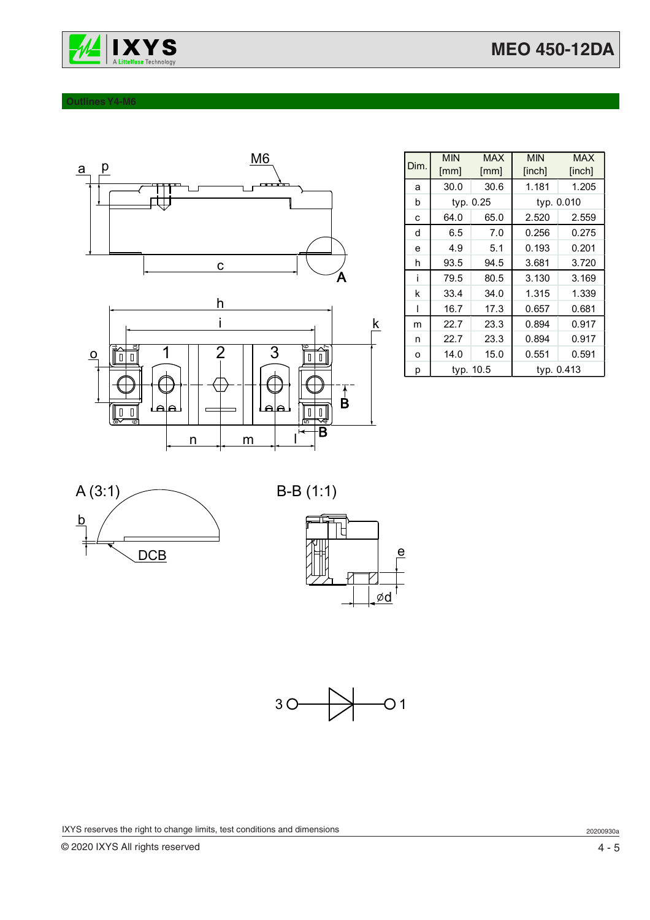

### **Outlines Y4-M6**



| Dim. | <b>MIN</b><br>[mm] | <b>MAX</b><br>[mm] | <b>MIN</b><br>[inch] | <b>MAX</b><br>[inch] |
|------|--------------------|--------------------|----------------------|----------------------|
| a    | 30.0               | 30.6               | 1.181                | 1.205                |
| b    |                    | typ. 0.25          | typ. 0.010           |                      |
| C    | 64.0               | 65.0               | 2.520                | 2.559                |
| d    | 6.5                | 7.0                | 0.256                | 0.275                |
| e    | 4.9                | 5.1                | 0.193                | 0.201                |
| h    | 93.5               | 94.5               | 3.681                | 3.720                |
| j    | 79.5               | 80.5               | 3.130                | 3.169                |
| k    | 33.4               | 34.0               | 1.315                | 1.339                |
| ı    | 16.7               | 17.3               | 0.657                | 0.681                |
| m    | 22.7               | 23.3               | 0.894                | 0.917                |
| n    | 22.7               | 23.3               | 0.894                | 0.917                |
| O    | 14.0               | 15.0               | 0.551                | 0.591                |
| р    | typ. 10.5          |                    | typ. 0.413           |                      |









IXYS reserves the right to change limits, test conditions and dimensions